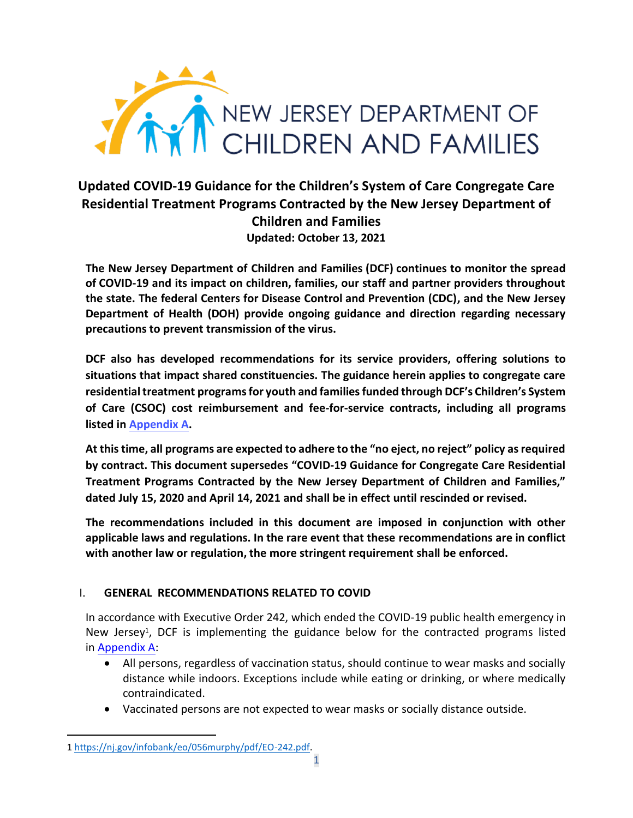

# **Updated COVID-19 Guidance for the Children's System of Care Congregate Care Residential Treatment Programs Contracted by the New Jersey Department of Children and Families Updated: October 13, 2021**

**The New Jersey Department of Children and Families (DCF) continues to monitor the spread of COVID-19 and its impact on children, families, our staff and partner providers throughout the state. The federal Centers for Disease Control and Prevention (CDC), and the New Jersey Department of Health (DOH) provide ongoing guidance and direction regarding necessary precautions to prevent transmission of the virus.** 

**DCF also has developed recommendations for its service providers, offering solutions to situations that impact shared constituencies. The guidance herein applies to congregate care residentialtreatment programs for youth and families funded through DCF's Children's System of Care (CSOC) cost reimbursement and fee-for-service contracts, including all programs listed in [Appendix A.](#page-6-0)** 

**At this time, all programs are expected to adhere to the "no eject, no reject" policy as required by contract. This document supersedes "COVID-19 Guidance for Congregate Care Residential Treatment Programs Contracted by the New Jersey Department of Children and Families," dated July 15, 2020 and April 14, 2021 and shall be in effect until rescinded or revised.** 

**The recommendations included in this document are imposed in conjunction with other applicable laws and regulations. In the rare event that these recommendations are in conflict with another law or regulation, the more stringent requirement shall be enforced.** 

## I. **GENERAL RECOMMENDATIONS RELATED TO COVID**

In accordance with Executive Order 242, which ended the COVID-19 public health emergency in New Jersey<sup>1</sup>, DCF is implementing the guidance below for the contracted programs listed in [Appendix A:](#page-6-0) 

- All persons, regardless of vaccination status, should continue to wear masks and socially distance while indoors. Exceptions include while eating or drinking, or where medically contraindicated.
- Vaccinated persons are not expected to wear masks or socially distance outside.

<sup>1</sup> [https://nj.gov/infobank/eo/056murphy/pdf/EO-242.pdf.](https://nj.gov/infobank/eo/056murphy/pdf/EO-242.pdf)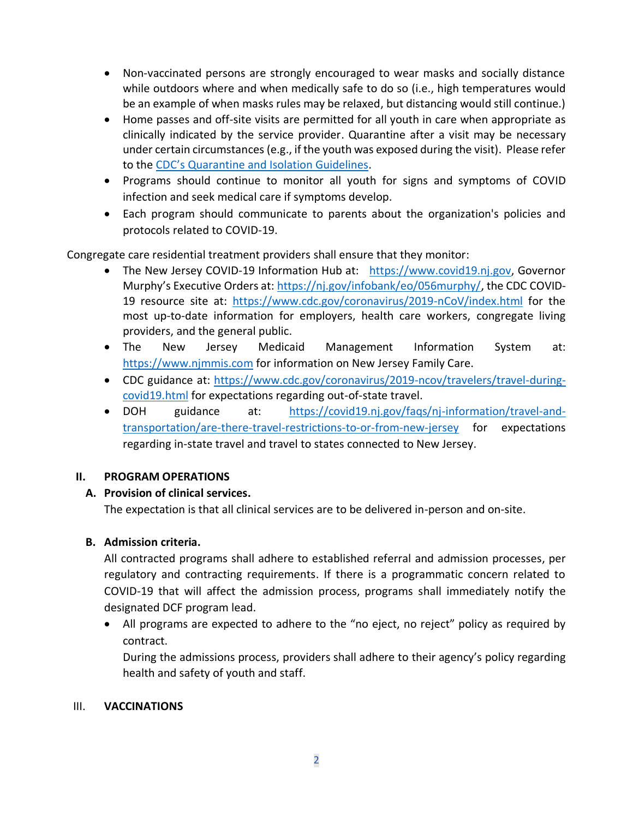- Non-vaccinated persons are strongly encouraged to wear masks and socially distance while outdoors where and when medically safe to do so (i.e., high temperatures would be an example of when masks rules may be relaxed, but distancing would still continue.)
- Home passes and off-site visits are permitted for all youth in care when appropriate as clinically indicated by the service provider. Quarantine after a visit may be necessary under certain circumstances (e.g., if the youth was exposed during the visit). Please refer to the [CDC's Quarantine and Isolation Guidelines](https://www.cdc.gov/coronavirus/2019-ncov/if-you-are-sick/quarantine.html).
- Programs should continue to monitor all youth for signs and symptoms of COVID infection and seek medical care if symptoms develop.
- Each program should communicate to parents about the organization's policies and protocols related to COVID-19.

Congregate care residential treatment providers shall ensure that they monitor:

- The New Jersey COVID-19 Information Hub at: [https://www.covid19.nj.gov,](https://www.covid19.nj.gov/) Governor Murphy's Executive Orders at: [https://nj.gov/infobank/eo/056murphy/,](https://nj.gov/infobank/eo/056murphy/) the CDC COVID-19 resource site at: <https://www.cdc.gov/coronavirus/2019-nCoV/index.html> for the most up-to-date information for employers, health care workers, congregate living providers, and the general public.
- The New Jersey Medicaid Management Information System at: [https://www.njmmis.com](https://www.njmmis.com/) for information on New Jersey Family Care.
- CDC guidance at: [https://www.cdc.gov/coronavirus/2019-ncov/travelers/travel-during](https://www.cdc.gov/coronavirus/2019-ncov/travelers/travel-during-covid19.html)[covid19.html](https://www.cdc.gov/coronavirus/2019-ncov/travelers/travel-during-covid19.html) for expectations regarding out-of-state travel.
- DOH guidance at: [https://covid19.nj.gov/faqs/nj-information/travel-and](https://covid19.nj.gov/faqs/nj-information/travel-and-transportation/are-there-travel-restrictions-to-or-from-new-jersey)[transportation/are-there-travel-restrictions-to-or-from-new-jersey](https://covid19.nj.gov/faqs/nj-information/travel-and-transportation/are-there-travel-restrictions-to-or-from-new-jersey) for expectations regarding in-state travel and travel to states connected to New Jersey.

## **II. PROGRAM OPERATIONS**

# **A. Provision of clinical services.**

The expectation is that all clinical services are to be delivered in-person and on-site.

# **B. Admission criteria.**

All contracted programs shall adhere to established referral and admission processes, per regulatory and contracting requirements. If there is a programmatic concern related to COVID-19 that will affect the admission process, programs shall immediately notify the designated DCF program lead.

• All programs are expected to adhere to the "no eject, no reject" policy as required by contract.

During the admissions process, providers shall adhere to their agency's policy regarding health and safety of youth and staff.

## III. **VACCINATIONS**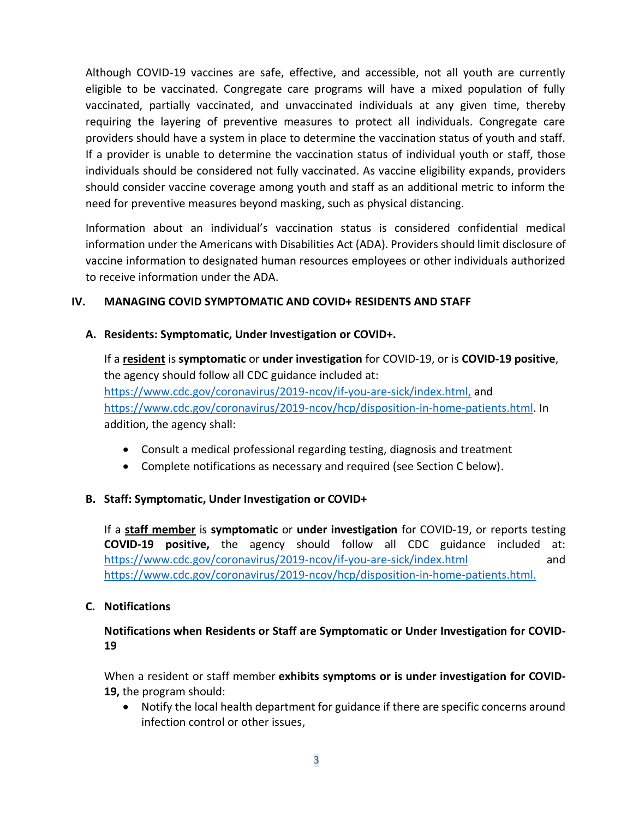Although COVID-19 vaccines are safe, effective, and accessible, not all youth are currently eligible to be vaccinated. Congregate care programs will have a mixed population of fully vaccinated, partially vaccinated, and unvaccinated individuals at any given time, thereby requiring the layering of preventive measures to protect all individuals. Congregate care providers should have a system in place to determine the vaccination status of youth and staff. If a provider is unable to determine the vaccination status of individual youth or staff, those individuals should be considered not fully vaccinated. As vaccine eligibility expands, providers should consider vaccine coverage among youth and staff as an additional metric to inform the need for preventive measures beyond masking, such as physical distancing.

Information about an individual's vaccination status is considered confidential medical information under the Americans with Disabilities Act (ADA). Providers should limit disclosure of vaccine information to designated human resources employees or other individuals authorized to receive information under the ADA.

## **IV. MANAGING COVID SYMPTOMATIC AND COVID+ RESIDENTS AND STAFF**

#### **A. Residents: Symptomatic, Under Investigation or COVID+.**

If a **resident** is **symptomatic** or **under investigation** for COVID-19, or is **COVID-19 positive**, the agency should follow all CDC guidance included at: [https://www.cdc.gov/coronavirus/2019-ncov/if-you-are-sick/index.html,](https://www.cdc.gov/coronavirus/2019-ncov/if-you-are-sick/index.html) and [https://www.cdc.gov/coronavirus/2019-ncov/hcp/disposition-in-home-patients.html.](https://www.cdc.gov/coronavirus/2019-ncov/hcp/disposition-in-home-patients.html) In addition, the agency shall:

- Consult a medical professional regarding testing, diagnosis and treatment
- Complete notifications as necessary and required (see Section C below).

## **B. Staff: Symptomatic, Under Investigation or COVID+**

If a **staff member** is **symptomatic** or **under investigation** for COVID-19, or reports testing **COVID-19 positive,** the agency should follow all CDC guidance included at: <https://www.cdc.gov/coronavirus/2019-ncov/if-you-are-sick/index.html> and [https://www.cdc.gov/coronavirus/2019-ncov/hcp/disposition-in-home-patients.html.](https://www.cdc.gov/coronavirus/2019-ncov/hcp/disposition-in-home-patients.html)

## **C. Notifications**

## **Notifications when Residents or Staff are Symptomatic or Under Investigation for COVID-19**

When a resident or staff member **exhibits symptoms or is under investigation for COVID-19,** the program should:

• Notify the local health department for guidance if there are specific concerns around infection control or other issues,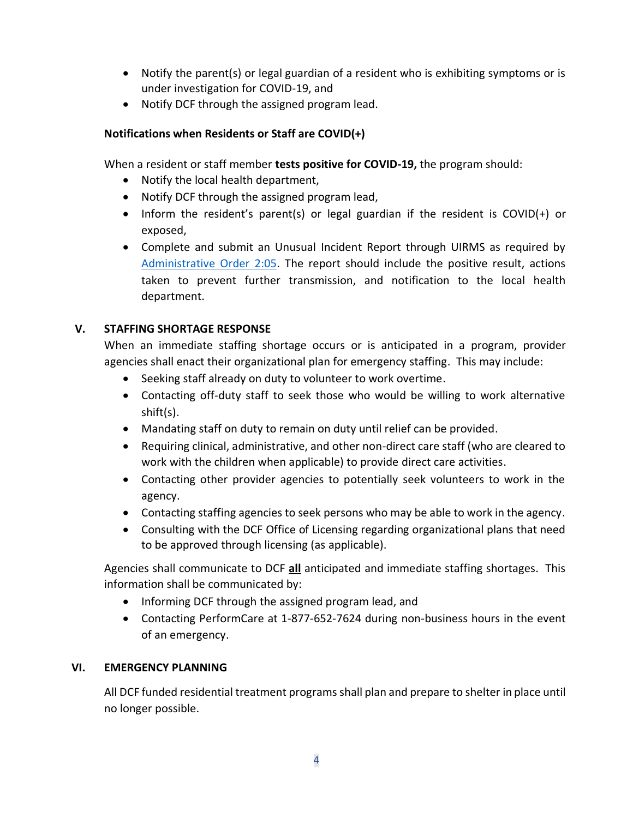- Notify the parent(s) or legal guardian of a resident who is exhibiting symptoms or is under investigation for COVID-19, and
- Notify DCF through the assigned program lead.

## **Notifications when Residents or Staff are COVID(+)**

When a resident or staff member **tests positive for COVID-19,** the program should:

- Notify the local health department,
- Notify DCF through the assigned program lead,
- Inform the resident's parent(s) or legal guardian if the resident is COVID(+) or exposed,
- Complete and submit an Unusual Incident Report through UIRMS as required by [Administrative Order 2:05.](https://www.nj.gov/dcf/about/divisions/opma/AO2_05.pdf) The report should include the positive result, actions taken to prevent further transmission, and notification to the local health department.

## **V. STAFFING SHORTAGE RESPONSE**

When an immediate staffing shortage occurs or is anticipated in a program, provider agencies shall enact their organizational plan for emergency staffing. This may include:

- Seeking staff already on duty to volunteer to work overtime.
- Contacting off-duty staff to seek those who would be willing to work alternative shift(s).
- Mandating staff on duty to remain on duty until relief can be provided.
- Requiring clinical, administrative, and other non-direct care staff (who are cleared to work with the children when applicable) to provide direct care activities.
- Contacting other provider agencies to potentially seek volunteers to work in the agency.
- Contacting staffing agencies to seek persons who may be able to work in the agency.
- Consulting with the DCF Office of Licensing regarding organizational plans that need to be approved through licensing (as applicable).

Agencies shall communicate to DCF **all** anticipated and immediate staffing shortages. This information shall be communicated by:

- Informing DCF through the assigned program lead, and
- Contacting PerformCare at 1-877-652-7624 during non-business hours in the event of an emergency.

## **VI. EMERGENCY PLANNING**

All DCF funded residential treatment programs shall plan and prepare to shelter in place until no longer possible.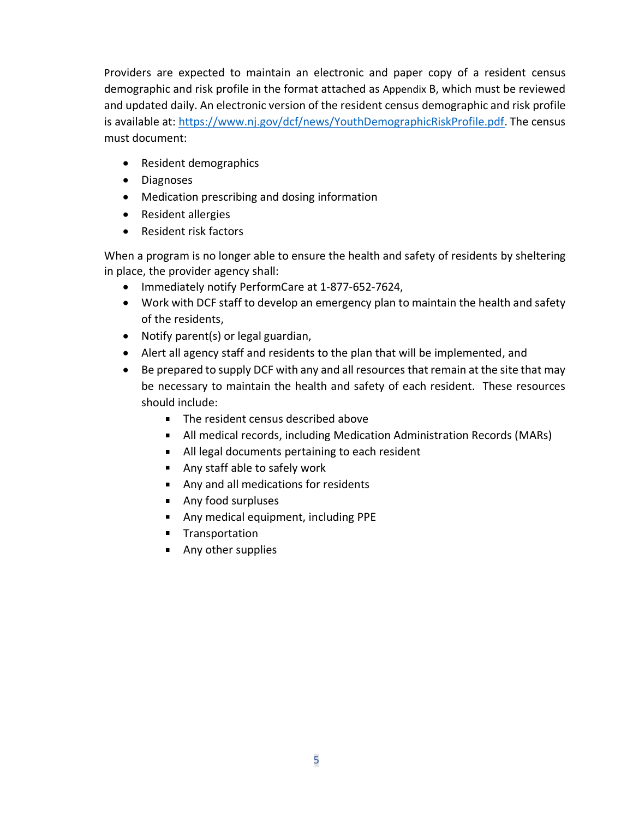Providers are expected to maintain an electronic and paper copy of a resident census demographic and risk profile in the format attached as Appendix B, which must be reviewed and updated daily. An electronic version of the resident census demographic and risk profile is available at:<https://www.nj.gov/dcf/news/YouthDemographicRiskProfile.pdf>. The census must document:

- Resident demographics
- Diagnoses
- Medication prescribing and dosing information
- Resident allergies
- Resident risk factors

When a program is no longer able to ensure the health and safety of residents by sheltering in place, the provider agency shall:

- Immediately notify PerformCare at 1-877-652-7624,
- Work with DCF staff to develop an emergency plan to maintain the health and safety of the residents,
- Notify parent(s) or legal guardian,
- Alert all agency staff and residents to the plan that will be implemented, and
- Be prepared to supply DCF with any and all resources that remain at the site that may be necessary to maintain the health and safety of each resident. These resources should include:
	- The resident census described above
	- All medical records, including Medication Administration Records (MARs)
	- All legal documents pertaining to each resident
	- Any staff able to safely work
	- Any and all medications for residents
	- **Any food surpluses**
	- **Any medical equipment, including PPE**
	- **Transportation**
	- **Any other supplies**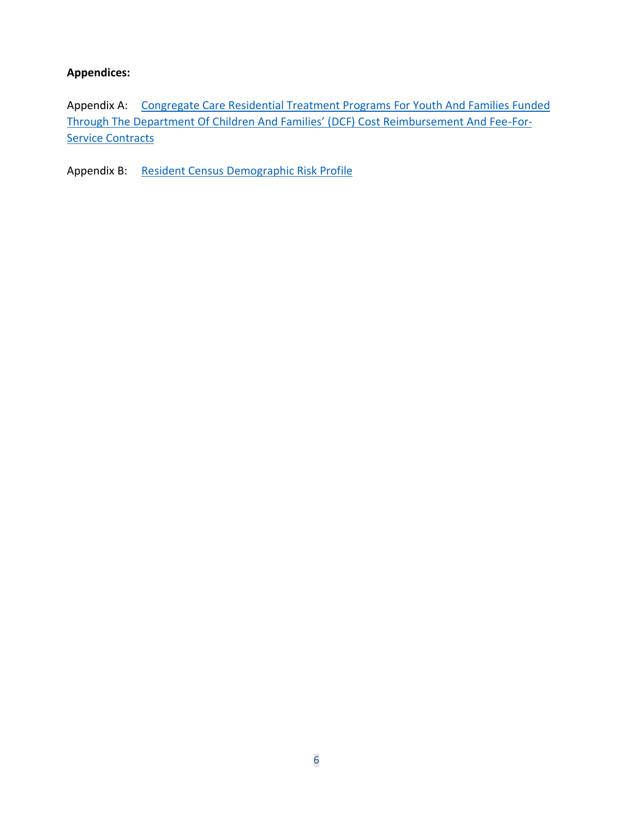## **Appendices:**

Appendix A: [Congregate Care Residential Treatment Programs](#page-6-1) For Youth And Families Funded [Through The Department Of Children And Families' \(DCF\) Cost Reimbursement And Fee](#page-6-1)-For-**[Service Contracts](#page-6-1)** 

Appendix B: [Resident Census Demographic Risk Profile](https://www.nj.gov/dcf/news/YouthDemographicRiskProfile.pdf)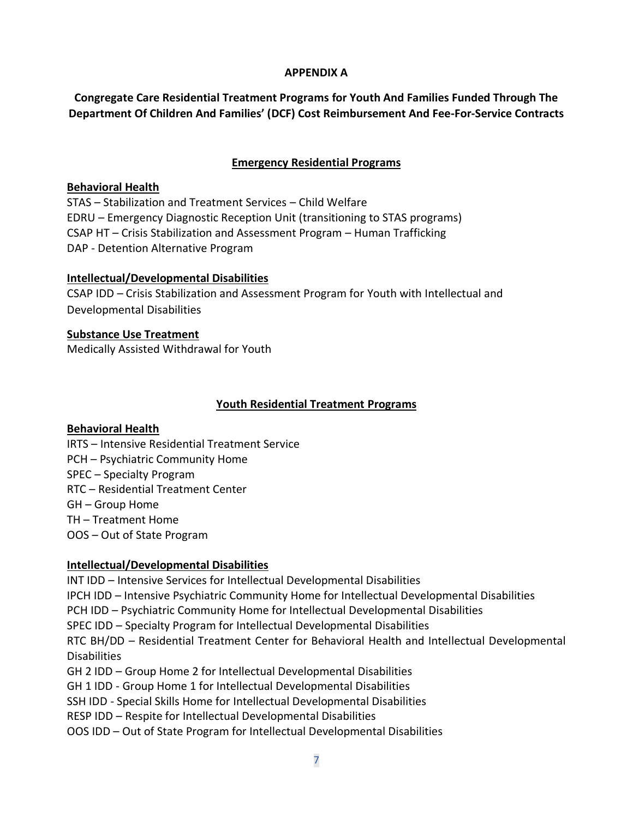#### **APPENDIX A**

<span id="page-6-1"></span><span id="page-6-0"></span>**Congregate Care Residential Treatment Programs for Youth And Families Funded Through The Department Of Children And Families' (DCF) Cost Reimbursement And Fee-For-Service Contracts**

## **Emergency Residential Programs**

#### **Behavioral Health**

STAS – Stabilization and Treatment Services – Child Welfare EDRU – Emergency Diagnostic Reception Unit (transitioning to STAS programs) CSAP HT – Crisis Stabilization and Assessment Program – Human Trafficking DAP - Detention Alternative Program

## **Intellectual/Developmental Disabilities**

CSAP IDD – Crisis Stabilization and Assessment Program for Youth with Intellectual and Developmental Disabilities

**Substance Use Treatment** Medically Assisted Withdrawal for Youth

#### **Youth Residential Treatment Programs**

## **Behavioral Health**

- IRTS Intensive Residential Treatment Service
- PCH Psychiatric Community Home
- SPEC Specialty Program
- RTC Residential Treatment Center
- GH Group Home
- TH Treatment Home
- OOS Out of State Program

## **Intellectual/Developmental Disabilities**

INT IDD – Intensive Services for Intellectual Developmental Disabilities IPCH IDD – Intensive Psychiatric Community Home for Intellectual Developmental Disabilities PCH IDD – Psychiatric Community Home for Intellectual Developmental Disabilities SPEC IDD – Specialty Program for Intellectual Developmental Disabilities RTC BH/DD – Residential Treatment Center for Behavioral Health and Intellectual Developmental **Disabilities** GH 2 IDD – Group Home 2 for Intellectual Developmental Disabilities GH 1 IDD - Group Home 1 for Intellectual Developmental Disabilities SSH IDD - Special Skills Home for Intellectual Developmental Disabilities RESP IDD – Respite for Intellectual Developmental Disabilities OOS IDD – Out of State Program for Intellectual Developmental Disabilities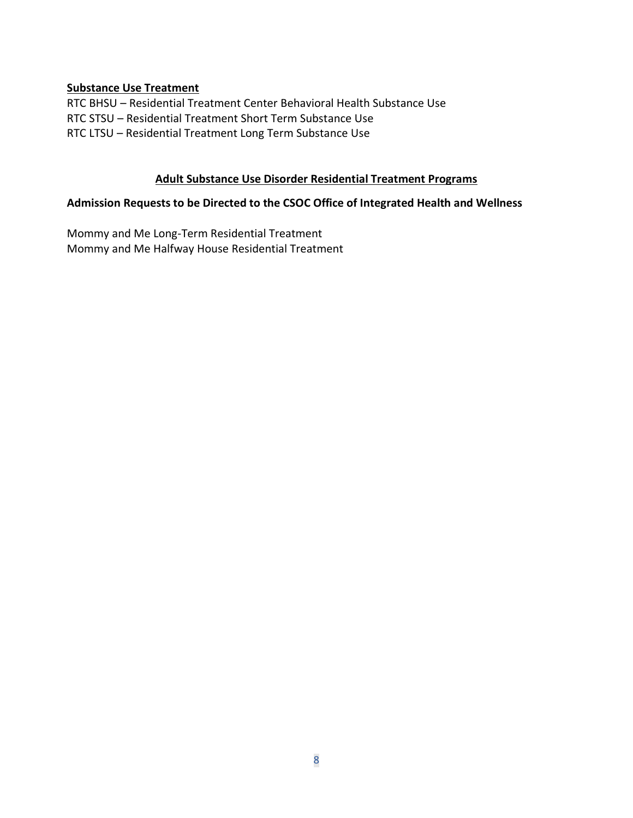#### **Substance Use Treatment**

RTC BHSU – Residential Treatment Center Behavioral Health Substance Use RTC STSU – Residential Treatment Short Term Substance Use RTC LTSU – Residential Treatment Long Term Substance Use

#### **Adult Substance Use Disorder Residential Treatment Programs**

#### **Admission Requests to be Directed to the CSOC Office of Integrated Health and Wellness**

Mommy and Me Long-Term Residential Treatment Mommy and Me Halfway House Residential Treatment